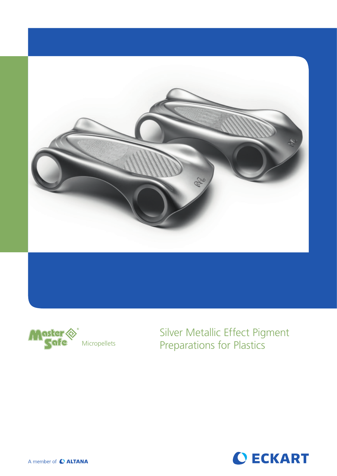



Silver Metallic Effect Pigment Micropellets Preparations for Plastics



A member of C ALTANA